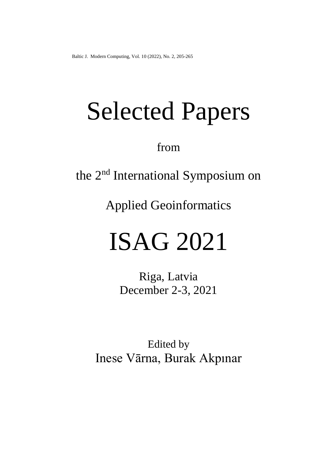# Selected Papers

from

the 2<sup>nd</sup> International Symposium on

Applied Geoinformatics

## ISAG 2021

Riga, Latvia December 2-3, 2021

Edited by Inese Vārna, Burak Akpınar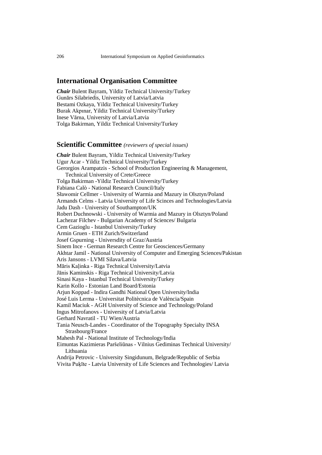#### **International Organisation Committee**

*Chair* Bulent Bayram, Yildiz Technical University/Turkey Gunārs Silabriedis, University of Latvia/Latvia Bestami Ozkaya, Yildiz Technical University/Turkey Burak Akpınar, Yildiz Technical University/Turkey Inese Vārna, University of Latvia/Latvia Tolga Bakirman, Yildiz Technical University/Turkey

#### **Scientific Committee** *(reviewers of special issues)*

*Chair* Bulent Bayram, Yildiz Technical University/Turkey Ugur Acar - Yildiz Technical University/Turkey Gerorgios Arampatzis - School of Production Engineering & Management, Technical University of Crete/Greece Tolga Bakirman -Yildiz Technical University/Turkey Fabiana Calò - National Research Council/Italy Sławomir Cellmer - University of Warmia and Mazury in Olsztyn/Poland Armands Celms - Latvia University of Life Scinces and Technologies/Latvia Jadu Dash - University of Southampton/UK Robert Duchnowski - University of Warmia and Mazury in Olsztyn/Poland Lachezar Filchev - Bulgarian Academy of Sciences/ Bulgaria Cem Gazioglu - Istanbul University/Turkey Armin Gruen - ETH Zurich/Switzerland Josef Gspurning - Universdity of Graz/Austria Sinem Ince - German Research Centre for Geosciences/Germany Akhtar Jamil - National University of Computer and Emerging Sciences/Pakistan Aris Jansons - LVMI Silava/Latvia Māris Kaļinka - Riga Technical University/Latvia Jānis Kaminskis - Riga Technical University/Latvia Sinasi Kaya - Istanbul Technical University/Turkey Karin Kollo - Estonian Land Board/Estonia Arjun Koppad - Indira Gandhi National Open University/India José Luis Lerma - Universitat Politècnica de València/Spain Kamil Maciuk - AGH University of Science and Technology/Poland Ingus Mitrofanovs - University of Latvia/Latvia Gerhard Navratil - TU Wien/Austria Tania Neusch-Landes - Coordinator of the Topography Specialty INSA Strasbourg/France Mahesh Pal - National Institute of Technology/India Eimuntas Kazimieras Paršeliūnas - Vilnius Gediminas Technical University/ Lithuania Andrija Petrovic - University Singidunum, Belgrade/Republic of Serbia

Vivita Puķīte - Latvia University of Life Sciences and Technologies/ Latvia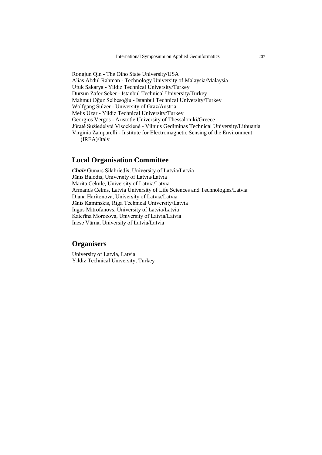Rongjun Qin - The Oiho State University/USA Alias Abdul Rahman - Technology University of Malaysia/Malaysia Ufuk Sakarya - Yildiz Technical University/Turkey Dursun Zafer Seker - Istanbul Technical University/Turkey Mahmut Oğuz Selbesoğlu - Istanbul Technical University/Turkey Wolfgang Sulzer - University of Graz/Austria Melis Uzar - Yildiz Technical University/Turkey Georgios Vergos - Aristotle University of Thessaloniki/Greece Jūratė Sužiedelytė Visockienė - Vilnius Gediminas Technical University/Lithuania Virginia Zamparelli - Institute for Electromagnetic Sensing of the Environment (IREA)/Italy

#### **Local Organisation Committee**

*Chair* Gunārs Silabriedis, University of Latvia/Latvia Jānis Balodis, University of Latvia/Latvia Marita Cekule, University of Latvia/Latvia Armands Celms, Latvia University of Life Sciences and Technologies/Latvia Diāna Haritonova, University of Latvia/Latvia Jānis Kaminskis, Riga Technical University/Latvia Ingus Mitrofanovs, University of Latvia/Latvia Katerīna Morozova, University of Latvia/Latvia Inese Vārna, University of Latvia/Latvia

#### **Organisers**

University of Latvia, Latvia Yildiz Technical University, Turkey